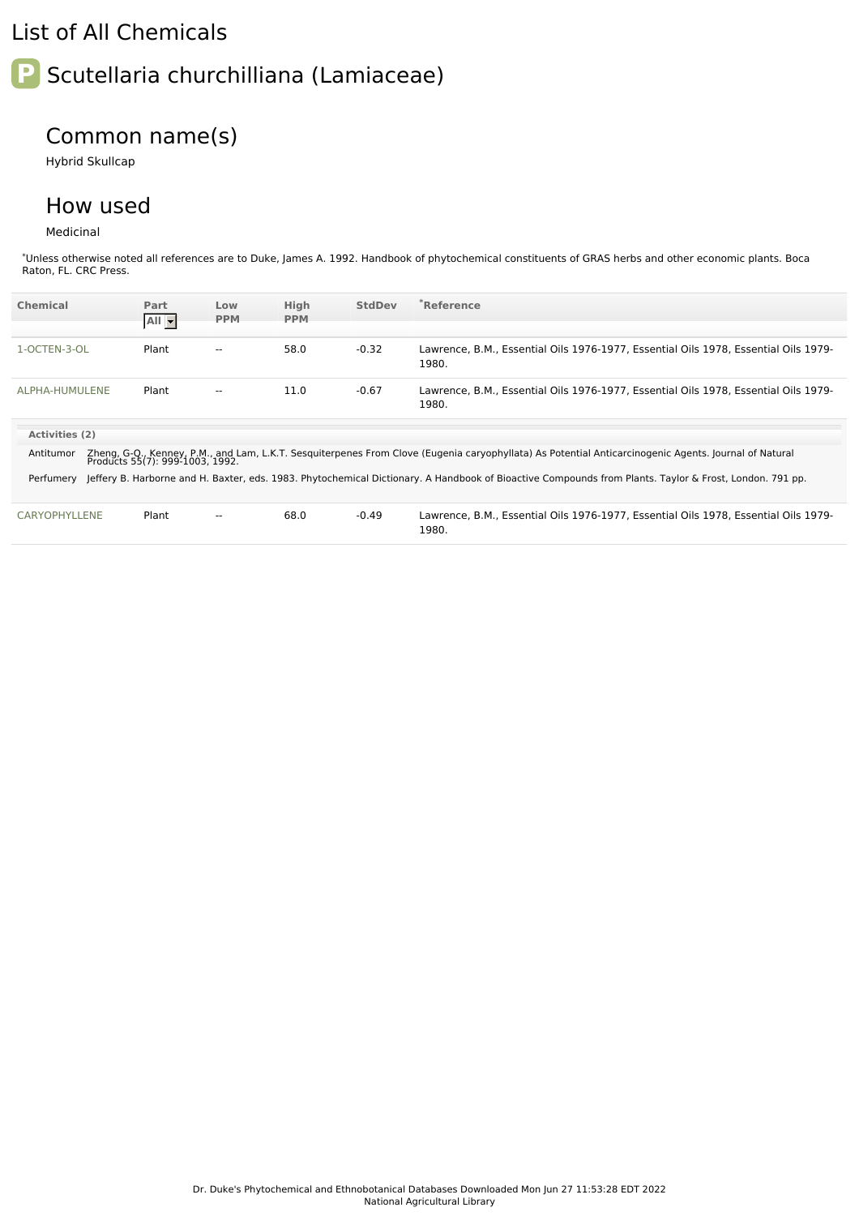## List of All Chemicals

## **P** Scutellaria churchilliana (Lamiaceae)

## Common name(s)

Hybrid Skullcap

## How used

Medicinal

\*Unless otherwise noted all references are to Duke, James A. 1992. Handbook of phytochemical constituents of GRAS herbs and other economic plants. Boca Raton, FL. CRC Press.

| <b>Chemical</b> | Part<br>All -                   | Low<br><b>PPM</b>        | High<br><b>PPM</b> | <b>StdDev</b> | <b>Reference</b>                                                                                                                                       |
|-----------------|---------------------------------|--------------------------|--------------------|---------------|--------------------------------------------------------------------------------------------------------------------------------------------------------|
| 1-OCTEN-3-OL    | Plant                           | $\overline{\phantom{a}}$ | 58.0               | $-0.32$       | Lawrence, B.M., Essential Oils 1976-1977, Essential Oils 1978, Essential Oils 1979-<br>1980.                                                           |
| ALPHA-HUMULENE  | Plant                           | $\overline{\phantom{a}}$ | 11.0               | $-0.67$       | Lawrence, B.M., Essential Oils 1976-1977, Essential Oils 1978, Essential Oils 1979-<br>1980.                                                           |
| Activities (2)  |                                 |                          |                    |               |                                                                                                                                                        |
| Antitumor       | Products 55(7): 999-1003, 1992. |                          |                    |               | Zheng, G-Q., Kenney, P.M., and Lam, L.K.T. Sesguiterpenes From Clove (Eugenia caryophyllata) As Potential Anticarcinogenic Agents. Journal of Natural  |
| Perfumery       |                                 |                          |                    |               | Jeffery B. Harborne and H. Baxter, eds. 1983. Phytochemical Dictionary. A Handbook of Bioactive Compounds from Plants. Taylor & Frost, London. 791 pp. |
| CARYOPHYLLENE   | Plant                           | $\overline{\phantom{a}}$ | 68.0               | $-0.49$       | Lawrence, B.M., Essential Oils 1976-1977, Essential Oils 1978, Essential Oils 1979-                                                                    |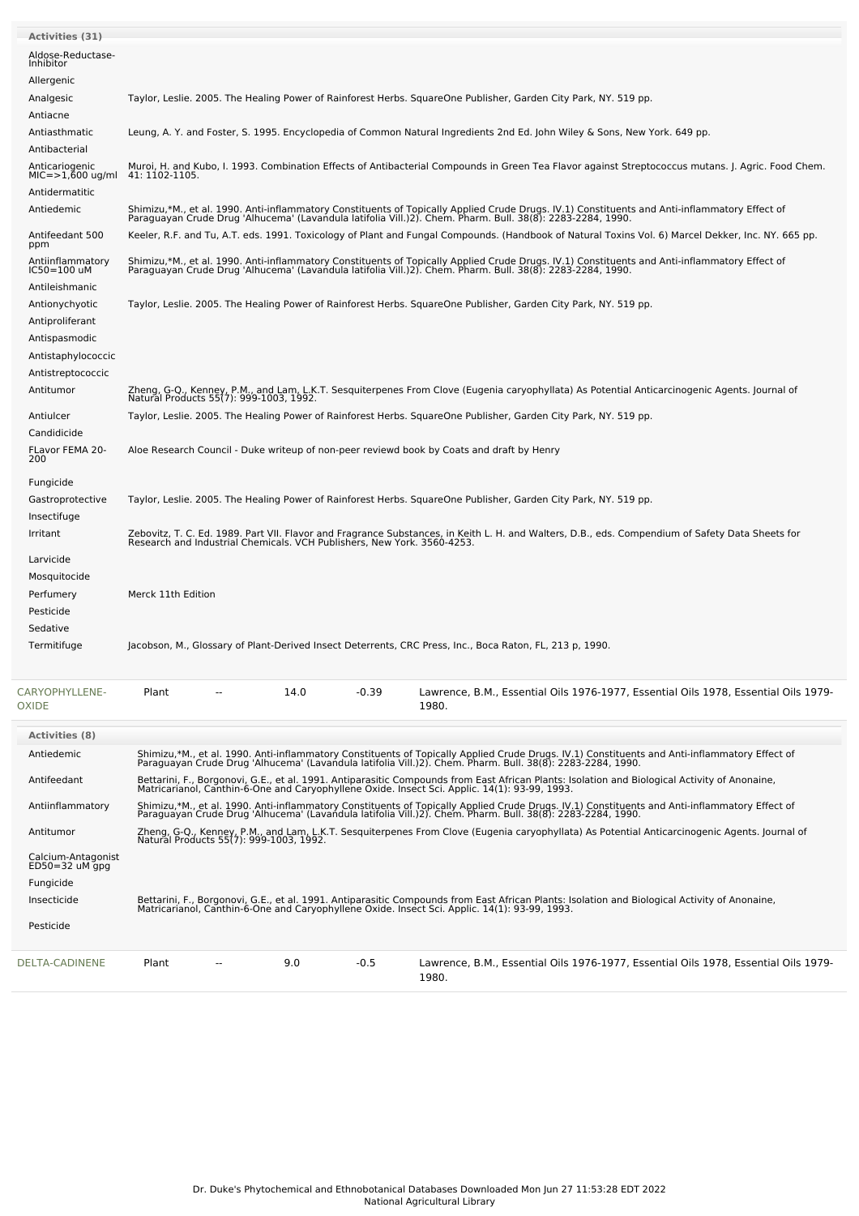| <b>Activities (31)</b>                            |                                                                                                                                                                                                                                                |  |
|---------------------------------------------------|------------------------------------------------------------------------------------------------------------------------------------------------------------------------------------------------------------------------------------------------|--|
| Aldose-Reductase-<br>Inhibitor                    |                                                                                                                                                                                                                                                |  |
| Allergenic                                        |                                                                                                                                                                                                                                                |  |
| Analgesic                                         | Taylor, Leslie. 2005. The Healing Power of Rainforest Herbs. SquareOne Publisher, Garden City Park, NY. 519 pp.                                                                                                                                |  |
| Antiacne                                          |                                                                                                                                                                                                                                                |  |
| Antiasthmatic                                     | Leung, A. Y. and Foster, S. 1995. Encyclopedia of Common Natural Ingredients 2nd Ed. John Wiley & Sons, New York. 649 pp.                                                                                                                      |  |
| Antibacterial                                     |                                                                                                                                                                                                                                                |  |
| Anticariogenic<br>MIC=>1,600 ug/ml                | Muroi, H. and Kubo, I. 1993. Combination Effects of Antibacterial Compounds in Green Tea Flavor against Streptococcus mutans. J. Agric. Food Chem.<br>41: 1102-1105.                                                                           |  |
| Antidermatitic                                    |                                                                                                                                                                                                                                                |  |
| Antiedemic                                        | Shimizu,*M., et al. 1990. Anti-inflammatory Constituents of Topically Applied Crude Drugs. IV.1) Constituents and Anti-inflammatory Effect of<br>Paraguayan Crude Drug 'Alhucema' (Lavandula latifolia Vill.)2). Chem. Pharm. Bul              |  |
| Antifeedant 500<br>ppm                            | Keeler, R.F. and Tu, A.T. eds. 1991. Toxicology of Plant and Fungal Compounds. (Handbook of Natural Toxins Vol. 6) Marcel Dekker, Inc. NY. 665 pp.                                                                                             |  |
| Antiinflammatory<br>IC50=100 uM<br>Antileishmanic | Shimizu,*M., et al. 1990. Anti-inflammatory Constituents of Topically Applied Crude Drugs. IV.1) Constituents and Anti-inflammatory Effect of<br>Paraguayan Crude Drug 'Alhucema' (Lavandula latifolia Vill.)2). Chem. Pharm. Bul              |  |
| Antionychyotic                                    | Taylor, Leslie. 2005. The Healing Power of Rainforest Herbs. SquareOne Publisher, Garden City Park, NY. 519 pp.                                                                                                                                |  |
| Antiproliferant                                   |                                                                                                                                                                                                                                                |  |
| Antispasmodic                                     |                                                                                                                                                                                                                                                |  |
| Antistaphylococcic                                |                                                                                                                                                                                                                                                |  |
| Antistreptococcic                                 |                                                                                                                                                                                                                                                |  |
| Antitumor                                         | Zheng, G-Q., Kenney, P.M., and Lam, L.K.T. Sesquiterpenes From Clove (Eugenia caryophyllata) As Potential Anticarcinogenic Agents. Journal of<br>Natural Products 55(7): 999-1003, 1992.                                                       |  |
|                                                   |                                                                                                                                                                                                                                                |  |
| Antiulcer<br>Candidicide                          | Taylor, Leslie. 2005. The Healing Power of Rainforest Herbs. SquareOne Publisher, Garden City Park, NY. 519 pp.                                                                                                                                |  |
| FLavor FEMA 20-<br>200                            | Aloe Research Council - Duke writeup of non-peer reviewd book by Coats and draft by Henry                                                                                                                                                      |  |
| Fungicide                                         |                                                                                                                                                                                                                                                |  |
| Gastroprotective                                  | Taylor, Leslie. 2005. The Healing Power of Rainforest Herbs. SquareOne Publisher, Garden City Park, NY. 519 pp.                                                                                                                                |  |
| Insectifuge                                       |                                                                                                                                                                                                                                                |  |
| Irritant                                          | Zebovitz, T. C. Ed. 1989. Part VII. Flavor and Fragrance Substances, in Keith L. H. and Walters, D.B., eds. Compendium of Safety Data Sheets for<br>Research and Industrial Chemicals. VCH Publishers, New York. 3560-4253.                    |  |
| Larvicide<br>Mosquitocide                         |                                                                                                                                                                                                                                                |  |
| Perfumery                                         | Merck 11th Edition                                                                                                                                                                                                                             |  |
| Pesticide                                         |                                                                                                                                                                                                                                                |  |
| Sedative                                          |                                                                                                                                                                                                                                                |  |
| Termitifuge                                       | Jacobson, M., Glossary of Plant-Derived Insect Deterrents, CRC Press, Inc., Boca Raton, FL, 213 p, 1990.                                                                                                                                       |  |
| CARYOPHYLLENE-                                    | $-0.39$<br>Plant<br>14.0<br>Lawrence, B.M., Essential Oils 1976-1977, Essential Oils 1978, Essential Oils 1979-                                                                                                                                |  |
| OXIDE                                             | 1980.                                                                                                                                                                                                                                          |  |
| <b>Activities (8)</b>                             |                                                                                                                                                                                                                                                |  |
| Antiedemic                                        |                                                                                                                                                                                                                                                |  |
|                                                   | Shimizu,*M., et al. 1990. Anti-inflammatory Constituents of Topically Applied Crude Drugs. IV.1) Constituents and Anti-inflammatory Effect of<br>Paraguayan Crude Drug 'Alhucema' (Lavandula latifolia Vill.)2). Chem. Pharm. Bul              |  |
| Antifeedant                                       | Bettarini, F., Borgonovi, G.E., et al. 1991. Antiparasitic Compounds from East African Plants: Isolation and Biological Activity of Anonaine,<br>Matricarianol, Canthin-6-One and Caryophyllene Oxide. Insect Sci. Applic. 14(1): 93-99, 1993. |  |
| Antiinflammatory                                  | Shimizu,*M., et al. 1990. Anti-inflammatory Constituents of Topically Applied Crude Drugs. IV.1) Constituents and Anti-inflammatory Effect of<br>Paraguayan Crude Drug 'Alhucema' (Lavandula latifolia Vill.)2). Chem. Pharm. Bul              |  |
| Antitumor                                         | Zheng, G-O., Kenney, P.M., and Lam, L.K.T. Sesquiterpenes From Clove (Eugenia caryophyllata) As Potential Anticarcinogenic Agents. Journal of<br>Natural Products 55(7): 999-1003, 1992.                                                       |  |
| Calcium-Antagonist<br>$ED50=32$ uM gpg            |                                                                                                                                                                                                                                                |  |
| Fungicide                                         |                                                                                                                                                                                                                                                |  |
| Insecticide                                       | Bettarini, F., Borgonovi, G.E., et al. 1991. Antiparasitic Compounds from East African Plants: Isolation and Biological Activity of Anonaine,                                                                                                  |  |
|                                                   | Matricarianol, Canthin-6-One and Caryophyllene Oxide. Insect Sci. Applic. 14(1): 93-99, 1993.                                                                                                                                                  |  |
| Pesticide                                         |                                                                                                                                                                                                                                                |  |
| DELTA-CADINENE                                    | 9.0<br>$-0.5$<br>Lawrence, B.M., Essential Oils 1976-1977, Essential Oils 1978, Essential Oils 1979-<br>Plant<br>1980.                                                                                                                         |  |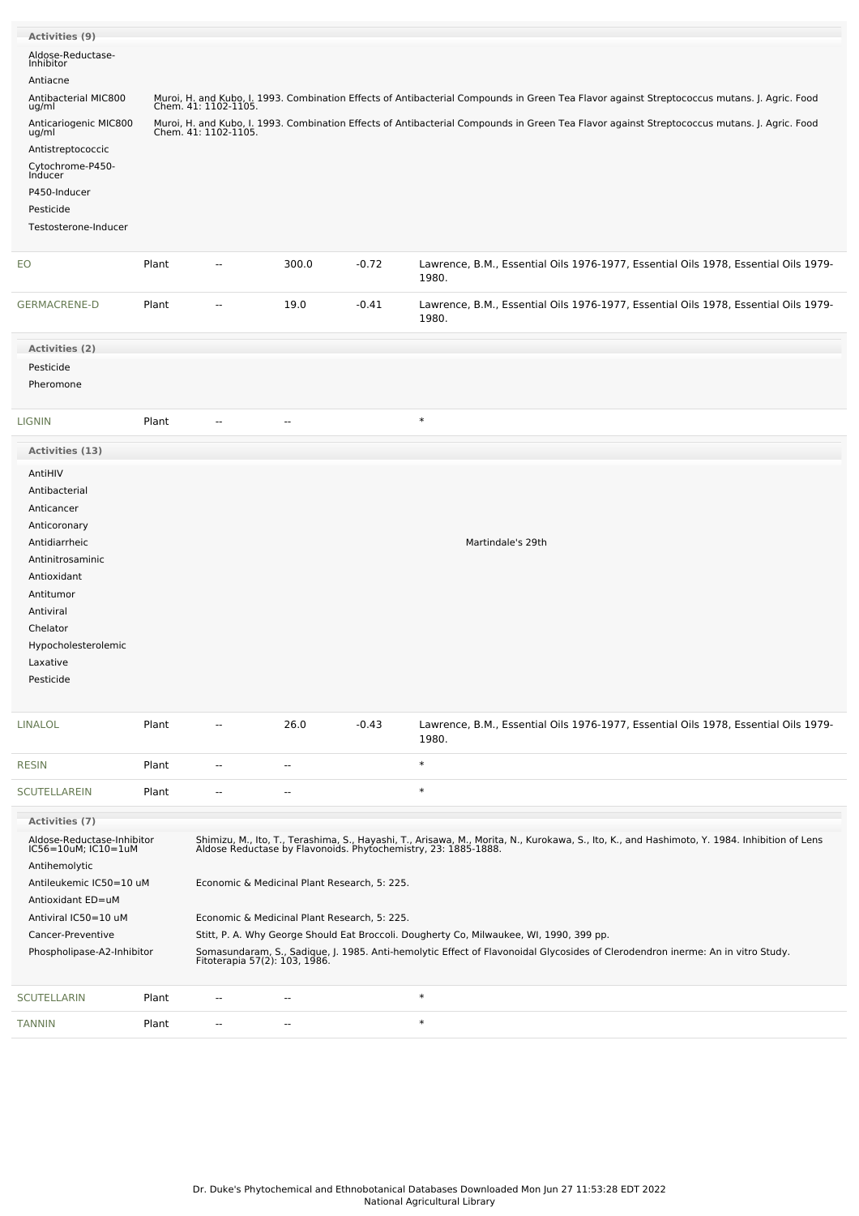| Activities (9)                                    |       |                                                                                                                                                                                                                                                            |                                              |         |                                                                                                                                              |  |  |  |  |
|---------------------------------------------------|-------|------------------------------------------------------------------------------------------------------------------------------------------------------------------------------------------------------------------------------------------------------------|----------------------------------------------|---------|----------------------------------------------------------------------------------------------------------------------------------------------|--|--|--|--|
| Aldose-Reductase-<br>Inhibitor                    |       |                                                                                                                                                                                                                                                            |                                              |         |                                                                                                                                              |  |  |  |  |
| Antiacne                                          |       |                                                                                                                                                                                                                                                            |                                              |         |                                                                                                                                              |  |  |  |  |
| Antibacterial MIC800                              |       |                                                                                                                                                                                                                                                            |                                              |         | Muroi, H. and Kubo, I. 1993. Combination Effects of Antibacterial Compounds in Green Tea Flavor against Streptococcus mutans. J. Agric. Food |  |  |  |  |
| ug/ml<br>Anticariogenic MIC800<br>ug/ml           |       | Chem. 41: 1102-1105.<br>Muroi, H. and Kubo, I. 1993. Combination Effects of Antibacterial Compounds in Green Tea Flavor against Streptococcus mutans. J. Agric. Food<br>Chem. 41: 1102-1105.                                                               |                                              |         |                                                                                                                                              |  |  |  |  |
| Antistreptococcic                                 |       |                                                                                                                                                                                                                                                            |                                              |         |                                                                                                                                              |  |  |  |  |
| Cytochrome-P450-<br>Inducer                       |       |                                                                                                                                                                                                                                                            |                                              |         |                                                                                                                                              |  |  |  |  |
| P450-Inducer                                      |       |                                                                                                                                                                                                                                                            |                                              |         |                                                                                                                                              |  |  |  |  |
| Pesticide                                         |       |                                                                                                                                                                                                                                                            |                                              |         |                                                                                                                                              |  |  |  |  |
| Testosterone-Inducer                              |       |                                                                                                                                                                                                                                                            |                                              |         |                                                                                                                                              |  |  |  |  |
| EO                                                | Plant | -−                                                                                                                                                                                                                                                         | 300.0                                        | $-0.72$ | Lawrence, B.M., Essential Oils 1976-1977, Essential Oils 1978, Essential Oils 1979-<br>1980.                                                 |  |  |  |  |
|                                                   |       |                                                                                                                                                                                                                                                            |                                              |         |                                                                                                                                              |  |  |  |  |
| <b>GERMACRENE-D</b>                               | Plant | $\overline{\phantom{a}}$                                                                                                                                                                                                                                   | 19.0                                         | $-0.41$ | Lawrence, B.M., Essential Oils 1976-1977, Essential Oils 1978, Essential Oils 1979-<br>1980.                                                 |  |  |  |  |
| Activities (2)                                    |       |                                                                                                                                                                                                                                                            |                                              |         |                                                                                                                                              |  |  |  |  |
| Pesticide                                         |       |                                                                                                                                                                                                                                                            |                                              |         |                                                                                                                                              |  |  |  |  |
| Pheromone                                         |       |                                                                                                                                                                                                                                                            |                                              |         |                                                                                                                                              |  |  |  |  |
| <b>LIGNIN</b>                                     | Plant | --                                                                                                                                                                                                                                                         | --                                           |         | $\ast$                                                                                                                                       |  |  |  |  |
| Activities (13)                                   |       |                                                                                                                                                                                                                                                            |                                              |         |                                                                                                                                              |  |  |  |  |
| AntiHIV                                           |       |                                                                                                                                                                                                                                                            |                                              |         |                                                                                                                                              |  |  |  |  |
| Antibacterial                                     |       |                                                                                                                                                                                                                                                            |                                              |         |                                                                                                                                              |  |  |  |  |
| Anticancer                                        |       |                                                                                                                                                                                                                                                            |                                              |         |                                                                                                                                              |  |  |  |  |
| Anticoronary                                      |       |                                                                                                                                                                                                                                                            |                                              |         |                                                                                                                                              |  |  |  |  |
| Antidiarrheic                                     |       |                                                                                                                                                                                                                                                            |                                              |         | Martindale's 29th                                                                                                                            |  |  |  |  |
| Antinitrosaminic                                  |       |                                                                                                                                                                                                                                                            |                                              |         |                                                                                                                                              |  |  |  |  |
| Antioxidant                                       |       |                                                                                                                                                                                                                                                            |                                              |         |                                                                                                                                              |  |  |  |  |
| Antitumor                                         |       |                                                                                                                                                                                                                                                            |                                              |         |                                                                                                                                              |  |  |  |  |
| Antiviral                                         |       |                                                                                                                                                                                                                                                            |                                              |         |                                                                                                                                              |  |  |  |  |
| Chelator                                          |       |                                                                                                                                                                                                                                                            |                                              |         |                                                                                                                                              |  |  |  |  |
| Hypocholesterolemic                               |       |                                                                                                                                                                                                                                                            |                                              |         |                                                                                                                                              |  |  |  |  |
| Laxative                                          |       |                                                                                                                                                                                                                                                            |                                              |         |                                                                                                                                              |  |  |  |  |
| Pesticide                                         |       |                                                                                                                                                                                                                                                            |                                              |         |                                                                                                                                              |  |  |  |  |
| <b>LINALOL</b>                                    | Plant |                                                                                                                                                                                                                                                            | 26.0                                         | $-0.43$ | Lawrence, B.M., Essential Oils 1976-1977, Essential Oils 1978, Essential Oils 1979-<br>1980.                                                 |  |  |  |  |
| <b>RESIN</b>                                      | Plant | $\overline{a}$                                                                                                                                                                                                                                             | $\overline{a}$                               |         | $\ast$                                                                                                                                       |  |  |  |  |
| <b>SCUTELLAREIN</b>                               | Plant | $\overline{\phantom{a}}$                                                                                                                                                                                                                                   | $\overline{\phantom{a}}$                     |         | $\ast$                                                                                                                                       |  |  |  |  |
| Activities (7)                                    |       |                                                                                                                                                                                                                                                            |                                              |         |                                                                                                                                              |  |  |  |  |
| Aldose-Reductase-Inhibitor<br>IC56=10uM; IC10=1uM |       | Shimizu, M., Ito, T., Terashima, S., Hayashi, T., Arisawa, M., Morita, N., Kurokawa, S., Ito, K., and Hashimoto, Y. 1984. Inhibition of Lens<br>Aldose Reductase by Flavonoids. Phytochemistry, 23: 1885-1888.                                             |                                              |         |                                                                                                                                              |  |  |  |  |
| Antihemolytic                                     |       |                                                                                                                                                                                                                                                            |                                              |         |                                                                                                                                              |  |  |  |  |
| Antileukemic IC50=10 uM                           |       | Economic & Medicinal Plant Research, 5: 225.                                                                                                                                                                                                               |                                              |         |                                                                                                                                              |  |  |  |  |
| Antioxidant ED=uM                                 |       |                                                                                                                                                                                                                                                            |                                              |         |                                                                                                                                              |  |  |  |  |
| Antiviral IC50=10 uM                              |       |                                                                                                                                                                                                                                                            | Economic & Medicinal Plant Research, 5: 225. |         |                                                                                                                                              |  |  |  |  |
| Cancer-Preventive<br>Phospholipase-A2-Inhibitor   |       | Stitt, P. A. Why George Should Eat Broccoli. Dougherty Co, Milwaukee, WI, 1990, 399 pp.<br>Somasundaram, S., Sadique, J. 1985. Anti-hemolytic Effect of Flavonoidal Glycosides of Clerodendron inerme: An in vitro Study.<br>Fitoterapia 57(2): 103, 1986. |                                              |         |                                                                                                                                              |  |  |  |  |
| <b>SCUTELLARIN</b>                                | Plant | ۰.                                                                                                                                                                                                                                                         | --                                           |         | $\ast$                                                                                                                                       |  |  |  |  |
| <b>TANNIN</b>                                     | Plant | --                                                                                                                                                                                                                                                         | --                                           |         | $\ast$                                                                                                                                       |  |  |  |  |